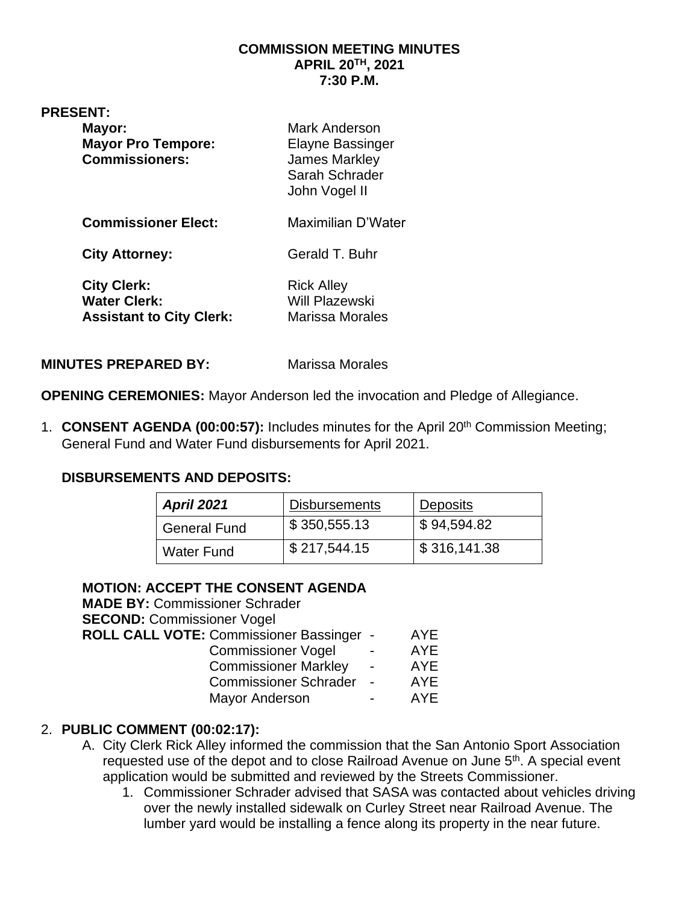### **COMMISSION MEETING MINUTES APRIL 20TH, 2021 7:30 P.M.**

| <b>PRESENT:</b><br>Mayor:<br><b>Mayor Pro Tempore:</b><br><b>Commissioners:</b> | Mark Anderson<br><b>Elayne Bassinger</b><br><b>James Markley</b><br>Sarah Schrader<br>John Vogel II |
|---------------------------------------------------------------------------------|-----------------------------------------------------------------------------------------------------|
| <b>Commissioner Elect:</b>                                                      | Maximilian D'Water                                                                                  |
| <b>City Attorney:</b>                                                           | Gerald T. Buhr                                                                                      |
| <b>City Clerk:</b><br><b>Water Clerk:</b><br><b>Assistant to City Clerk:</b>    | <b>Rick Alley</b><br><b>Will Plazewski</b><br>Marissa Morales                                       |
|                                                                                 |                                                                                                     |

**MINUTES PREPARED BY:** Marissa Morales

**OPENING CEREMONIES:** Mayor Anderson led the invocation and Pledge of Allegiance.

1. **CONSENT AGENDA (00:00:57):** Includes minutes for the April 20th Commission Meeting; General Fund and Water Fund disbursements for April 2021.

## **DISBURSEMENTS AND DEPOSITS:**

| <b>April 2021</b> | <b>Disbursements</b> | <b>Deposits</b> |
|-------------------|----------------------|-----------------|
| General Fund      | \$350,555.13         | \$94,594.82     |
| <b>Water Fund</b> | \$217,544.15         | \$316,141.38    |

# **MOTION: ACCEPT THE CONSENT AGENDA**

| ROLL CALL VOTE: Commissioner Bassinger - | <b>AYE</b> |
|------------------------------------------|------------|
|                                          | <b>AYE</b> |
|                                          | <b>AYE</b> |
|                                          | AYE        |
|                                          | AYE        |
|                                          |            |

# 2. **PUBLIC COMMENT (00:02:17):**

- A. City Clerk Rick Alley informed the commission that the San Antonio Sport Association requested use of the depot and to close Railroad Avenue on June 5<sup>th</sup>. A special event application would be submitted and reviewed by the Streets Commissioner.
	- 1. Commissioner Schrader advised that SASA was contacted about vehicles driving over the newly installed sidewalk on Curley Street near Railroad Avenue. The lumber yard would be installing a fence along its property in the near future.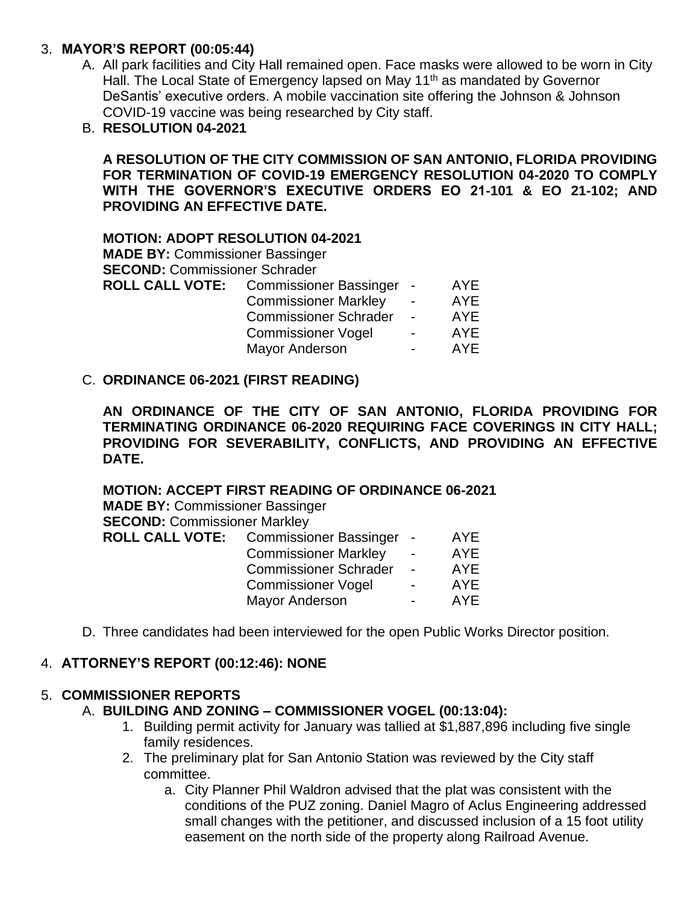## 3. **MAYOR'S REPORT (00:05:44)**

- A. All park facilities and City Hall remained open. Face masks were allowed to be worn in City Hall. The Local State of Emergency lapsed on May 11<sup>th</sup> as mandated by Governor DeSantis' executive orders. A mobile vaccination site offering the Johnson & Johnson COVID-19 vaccine was being researched by City staff.
- B. **RESOLUTION 04-2021**

**A RESOLUTION OF THE CITY COMMISSION OF SAN ANTONIO, FLORIDA PROVIDING FOR TERMINATION OF COVID-19 EMERGENCY RESOLUTION 04-2020 TO COMPLY WITH THE GOVERNOR'S EXECUTIVE ORDERS EO 21-101 & EO 21-102; AND PROVIDING AN EFFECTIVE DATE.**

### **MOTION: ADOPT RESOLUTION 04-2021**

**MADE BY:** Commissioner Bassinger **SECOND:** Commissioner Schrader **ROLL CALL VOTE:** Commissioner Bassinger - AYE Commissioner Markley - AYE Commissioner Schrader - AYE Commissioner Vogel - AYE Mayor Anderson **- AYE** 

### C. **ORDINANCE 06-2021 (FIRST READING)**

**AN ORDINANCE OF THE CITY OF SAN ANTONIO, FLORIDA PROVIDING FOR TERMINATING ORDINANCE 06-2020 REQUIRING FACE COVERINGS IN CITY HALL; PROVIDING FOR SEVERABILITY, CONFLICTS, AND PROVIDING AN EFFECTIVE DATE.**

**MOTION: ACCEPT FIRST READING OF ORDINANCE 06-2021 MADE BY:** Commissioner Bassinger **SECOND: Commissioner Markley ROLL CALL VOTE:** Commissioner Bassinger - AYE Commissioner Markley - AYE Commissioner Schrader - AYE Commissioner Vogel - AYE Mayor Anderson **- AYE** 

D. Three candidates had been interviewed for the open Public Works Director position.

## 4. **ATTORNEY'S REPORT (00:12:46): NONE**

### 5. **COMMISSIONER REPORTS**

### A. **BUILDING AND ZONING – COMMISSIONER VOGEL (00:13:04):**

- 1. Building permit activity for January was tallied at \$1,887,896 including five single family residences.
- 2. The preliminary plat for San Antonio Station was reviewed by the City staff committee.
	- a. City Planner Phil Waldron advised that the plat was consistent with the conditions of the PUZ zoning. Daniel Magro of Aclus Engineering addressed small changes with the petitioner, and discussed inclusion of a 15 foot utility easement on the north side of the property along Railroad Avenue.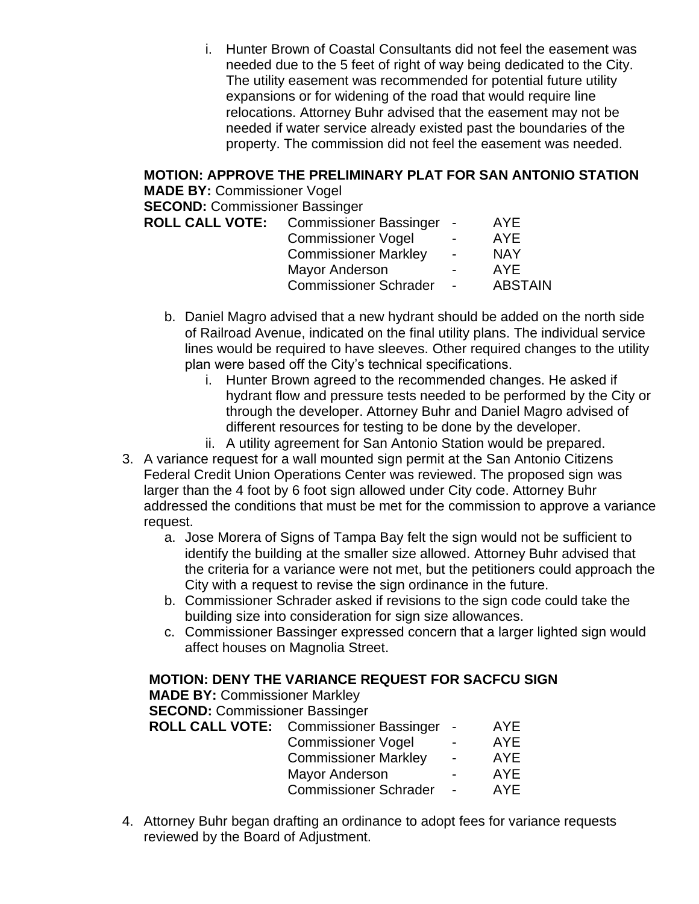i. Hunter Brown of Coastal Consultants did not feel the easement was needed due to the 5 feet of right of way being dedicated to the City. The utility easement was recommended for potential future utility expansions or for widening of the road that would require line relocations. Attorney Buhr advised that the easement may not be needed if water service already existed past the boundaries of the property. The commission did not feel the easement was needed.

# **MOTION: APPROVE THE PRELIMINARY PLAT FOR SAN ANTONIO STATION**

**MADE BY:** Commissioner Vogel **SECOND:** Commissioner Bassinger

**ROLL CALL VOTE:** Commissioner Bassinger - AYE Commissioner Vogel - AYE

| Commissioner vogel           | $\overline{\phantom{a}}$ | AYE            |
|------------------------------|--------------------------|----------------|
| <b>Commissioner Markley</b>  | $\blacksquare$           | NAY            |
| <b>Mayor Anderson</b>        | $\overline{\phantom{0}}$ | AYF            |
| <b>Commissioner Schrader</b> | $\overline{\phantom{a}}$ | <b>ABSTAIN</b> |

- b. Daniel Magro advised that a new hydrant should be added on the north side of Railroad Avenue, indicated on the final utility plans. The individual service lines would be required to have sleeves. Other required changes to the utility plan were based off the City's technical specifications.
	- i. Hunter Brown agreed to the recommended changes. He asked if hydrant flow and pressure tests needed to be performed by the City or through the developer. Attorney Buhr and Daniel Magro advised of different resources for testing to be done by the developer.
	- ii. A utility agreement for San Antonio Station would be prepared.
- 3. A variance request for a wall mounted sign permit at the San Antonio Citizens Federal Credit Union Operations Center was reviewed. The proposed sign was larger than the 4 foot by 6 foot sign allowed under City code. Attorney Buhr addressed the conditions that must be met for the commission to approve a variance request.
	- a. Jose Morera of Signs of Tampa Bay felt the sign would not be sufficient to identify the building at the smaller size allowed. Attorney Buhr advised that the criteria for a variance were not met, but the petitioners could approach the City with a request to revise the sign ordinance in the future.
	- b. Commissioner Schrader asked if revisions to the sign code could take the building size into consideration for sign size allowances.
	- c. Commissioner Bassinger expressed concern that a larger lighted sign would affect houses on Magnolia Street.

# **MOTION: DENY THE VARIANCE REQUEST FOR SACFCU SIGN**

**MADE BY:** Commissioner Markley

**SECOND:** Commissioner Bassinger

| <b>ROLL CALL VOTE:</b> Commissioner Bassinger | $\sim$                   | <b>AYE</b> |
|-----------------------------------------------|--------------------------|------------|
| <b>Commissioner Vogel</b>                     | $\blacksquare$           | <b>AYE</b> |
| <b>Commissioner Markley</b>                   | $\sim$                   | <b>AYE</b> |
| <b>Mayor Anderson</b>                         | $\overline{\phantom{0}}$ | AYE        |
| <b>Commissioner Schrader</b>                  | $\blacksquare$           | <b>AYE</b> |
|                                               |                          |            |

4. Attorney Buhr began drafting an ordinance to adopt fees for variance requests reviewed by the Board of Adjustment.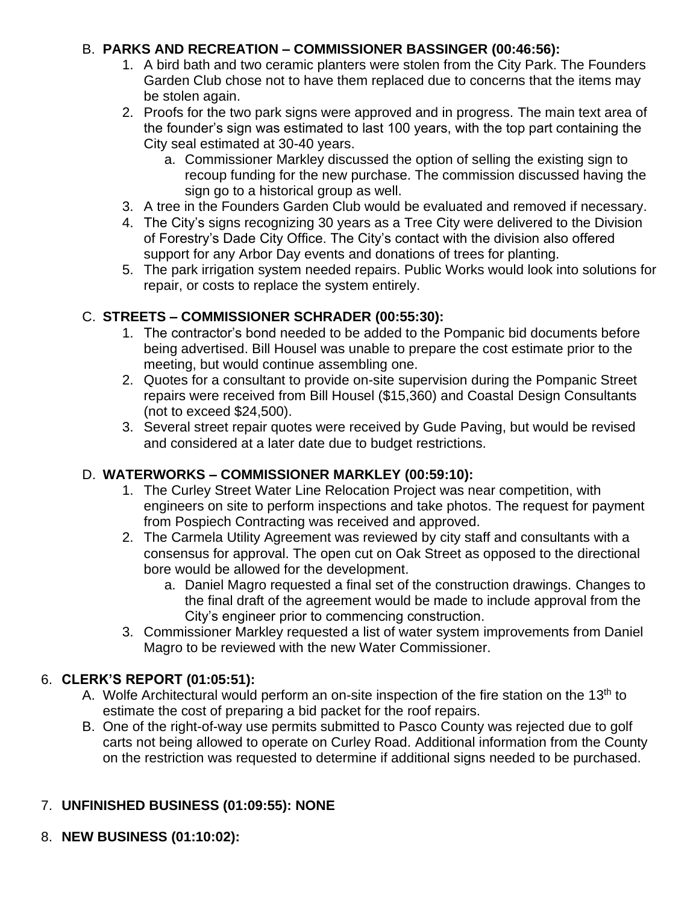## B. **PARKS AND RECREATION – COMMISSIONER BASSINGER (00:46:56):**

- 1. A bird bath and two ceramic planters were stolen from the City Park. The Founders Garden Club chose not to have them replaced due to concerns that the items may be stolen again.
- 2. Proofs for the two park signs were approved and in progress. The main text area of the founder's sign was estimated to last 100 years, with the top part containing the City seal estimated at 30-40 years.
	- a. Commissioner Markley discussed the option of selling the existing sign to recoup funding for the new purchase. The commission discussed having the sign go to a historical group as well.
- 3. A tree in the Founders Garden Club would be evaluated and removed if necessary.
- 4. The City's signs recognizing 30 years as a Tree City were delivered to the Division of Forestry's Dade City Office. The City's contact with the division also offered support for any Arbor Day events and donations of trees for planting.
- 5. The park irrigation system needed repairs. Public Works would look into solutions for repair, or costs to replace the system entirely.

# C. **STREETS – COMMISSIONER SCHRADER (00:55:30):**

- 1. The contractor's bond needed to be added to the Pompanic bid documents before being advertised. Bill Housel was unable to prepare the cost estimate prior to the meeting, but would continue assembling one.
- 2. Quotes for a consultant to provide on-site supervision during the Pompanic Street repairs were received from Bill Housel (\$15,360) and Coastal Design Consultants (not to exceed \$24,500).
- 3. Several street repair quotes were received by Gude Paving, but would be revised and considered at a later date due to budget restrictions.

# D. **WATERWORKS – COMMISSIONER MARKLEY (00:59:10):**

- 1. The Curley Street Water Line Relocation Project was near competition, with engineers on site to perform inspections and take photos. The request for payment from Pospiech Contracting was received and approved.
- 2. The Carmela Utility Agreement was reviewed by city staff and consultants with a consensus for approval. The open cut on Oak Street as opposed to the directional bore would be allowed for the development.
	- a. Daniel Magro requested a final set of the construction drawings. Changes to the final draft of the agreement would be made to include approval from the City's engineer prior to commencing construction.
- 3. Commissioner Markley requested a list of water system improvements from Daniel Magro to be reviewed with the new Water Commissioner.

# 6. **CLERK'S REPORT (01:05:51):**

- A. Wolfe Architectural would perform an on-site inspection of the fire station on the 13<sup>th</sup> to estimate the cost of preparing a bid packet for the roof repairs.
- B. One of the right-of-way use permits submitted to Pasco County was rejected due to golf carts not being allowed to operate on Curley Road. Additional information from the County on the restriction was requested to determine if additional signs needed to be purchased.

# 7. **UNFINISHED BUSINESS (01:09:55): NONE**

8. **NEW BUSINESS (01:10:02):**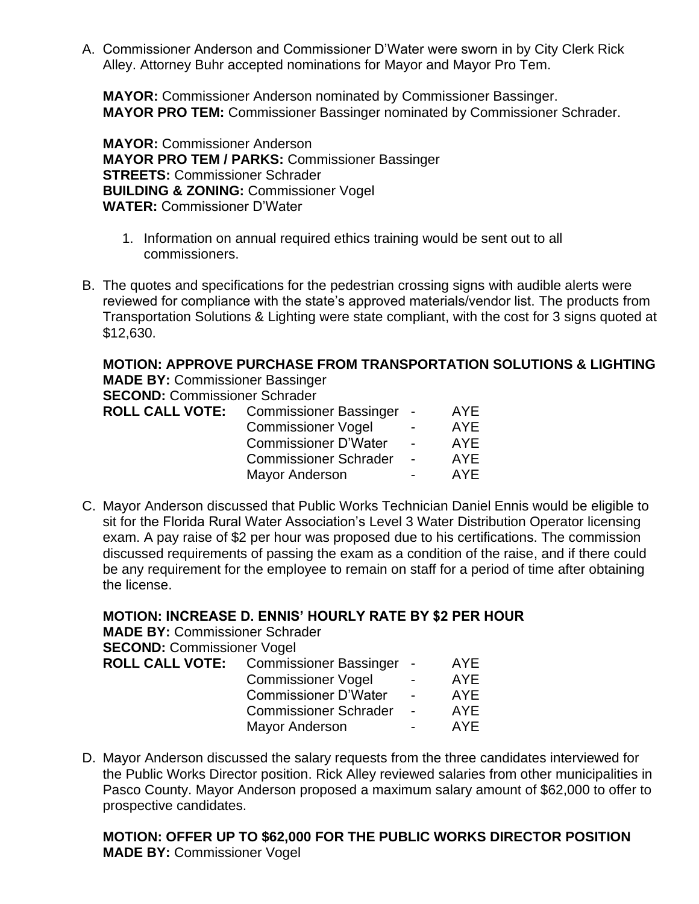A. Commissioner Anderson and Commissioner D'Water were sworn in by City Clerk Rick Alley. Attorney Buhr accepted nominations for Mayor and Mayor Pro Tem.

**MAYOR:** Commissioner Anderson nominated by Commissioner Bassinger. **MAYOR PRO TEM:** Commissioner Bassinger nominated by Commissioner Schrader.

**MAYOR:** Commissioner Anderson **MAYOR PRO TEM / PARKS:** Commissioner Bassinger **STREETS:** Commissioner Schrader **BUILDING & ZONING:** Commissioner Vogel **WATER:** Commissioner D'Water

- 1. Information on annual required ethics training would be sent out to all commissioners.
- B. The quotes and specifications for the pedestrian crossing signs with audible alerts were reviewed for compliance with the state's approved materials/vendor list. The products from Transportation Solutions & Lighting were state compliant, with the cost for 3 signs quoted at \$12,630.

**MOTION: APPROVE PURCHASE FROM TRANSPORTATION SOLUTIONS & LIGHTING MADE BY:** Commissioner Bassinger

**SECOND:** Commissioner Schrader

| <b>ROLL CALL VOTE:</b> | Commissioner Bassinger -     |                | AYE. |
|------------------------|------------------------------|----------------|------|
|                        | <b>Commissioner Vogel</b>    | $\blacksquare$ | AYE. |
|                        | <b>Commissioner D'Water</b>  | $\blacksquare$ | AYE. |
|                        | <b>Commissioner Schrader</b> |                | AYF  |
|                        | Mayor Anderson               |                | AYF. |

C. Mayor Anderson discussed that Public Works Technician Daniel Ennis would be eligible to sit for the Florida Rural Water Association's Level 3 Water Distribution Operator licensing exam. A pay raise of \$2 per hour was proposed due to his certifications. The commission discussed requirements of passing the exam as a condition of the raise, and if there could be any requirement for the employee to remain on staff for a period of time after obtaining the license.

**MOTION: INCREASE D. ENNIS' HOURLY RATE BY \$2 PER HOUR**

**MADE BY:** Commissioner Schrader **SECOND:** Commissioner Vogel

| <b>OLLUIND:</b> COMMISSIONER VOGER |                                               |                          |            |
|------------------------------------|-----------------------------------------------|--------------------------|------------|
|                                    | <b>ROLL CALL VOTE:</b> Commissioner Bassinger | $\sim$                   | AYE        |
|                                    | <b>Commissioner Vogel</b>                     | $\overline{\phantom{0}}$ | <b>AYE</b> |
|                                    | <b>Commissioner D'Water</b>                   | $\sim$                   | <b>AYE</b> |
|                                    | <b>Commissioner Schrader</b>                  | $\sim$                   | AYE        |
|                                    | <b>Mayor Anderson</b>                         | $\blacksquare$           | <b>AYE</b> |

D. Mayor Anderson discussed the salary requests from the three candidates interviewed for the Public Works Director position. Rick Alley reviewed salaries from other municipalities in Pasco County. Mayor Anderson proposed a maximum salary amount of \$62,000 to offer to prospective candidates.

**MOTION: OFFER UP TO \$62,000 FOR THE PUBLIC WORKS DIRECTOR POSITION MADE BY:** Commissioner Vogel